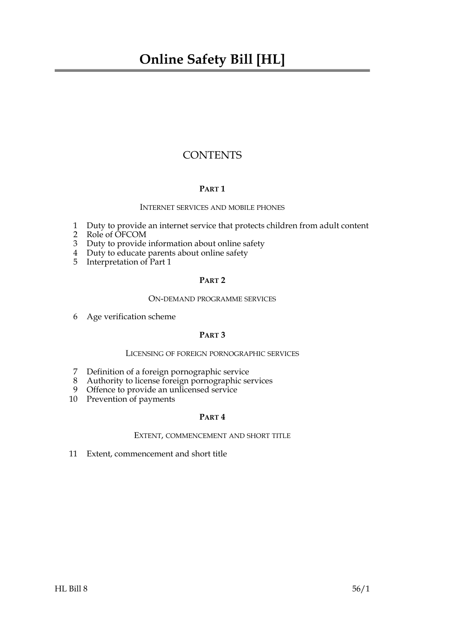### **CONTENTS**

#### **PART 1**

#### INTERNET SERVICES AND MOBILE PHONES

- 1 Duty to provide an internet service that protects children from adult content
- 2 Role of OFCOM
- 3 Duty to provide information about online safety
- 4 Duty to educate parents about online safety
- 5 Interpretation of Part 1

#### **PART 2**

#### ON-DEMAND PROGRAMME SERVICES

6 Age verification scheme

#### **PART 3**

#### LICENSING OF FOREIGN PORNOGRAPHIC SERVICES

- 7 Definition of a foreign pornographic service
- 8 Authority to license foreign pornographic services
- 9 Offence to provide an unlicensed service
- 10 Prevention of payments

#### **PART 4**

#### EXTENT, COMMENCEMENT AND SHORT TITLE

11 Extent, commencement and short title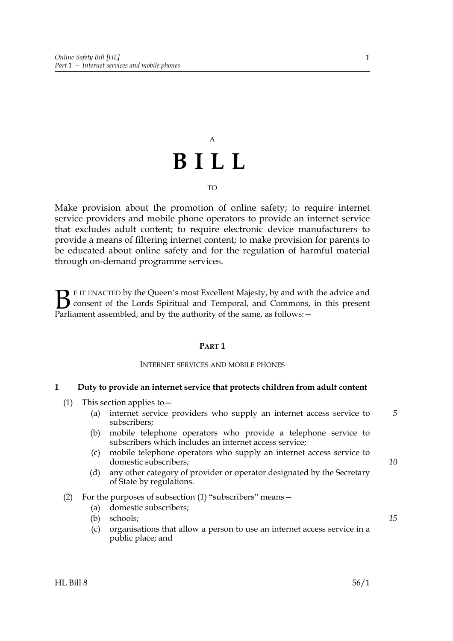# A **BILL**

#### TO

Make provision about the promotion of online safety; to require internet service providers and mobile phone operators to provide an internet service that excludes adult content; to require electronic device manufacturers to provide a means of filtering internet content; to make provision for parents to be educated about online safety and for the regulation of harmful material through on-demand programme services.

E IT ENACTED by the Queen's most Excellent Majesty, by and with the advice and consent of the Lords Spiritual and Temporal, and Commons, in this present Parliament assembled, and by the authority of the same, as follows:  $\mathbf{B}_{\text{e}$ 

#### **PART 1**

#### INTERNET SERVICES AND MOBILE PHONES

#### **1 Duty to provide an internet service that protects children from adult content**

- (1) This section applies to—
	- (a) internet service providers who supply an internet access service to subscribers;
	- (b) mobile telephone operators who provide a telephone service to subscribers which includes an internet access service;
	- (c) mobile telephone operators who supply an internet access service to domestic subscribers;
	- (d) any other category of provider or operator designated by the Secretary of State by regulations.

#### (2) For the purposes of subsection (1) "subscribers" means—

- (a) domestic subscribers;
- (b) schools;
- (c) organisations that allow a person to use an internet access service in a public place; and

*10*

*15*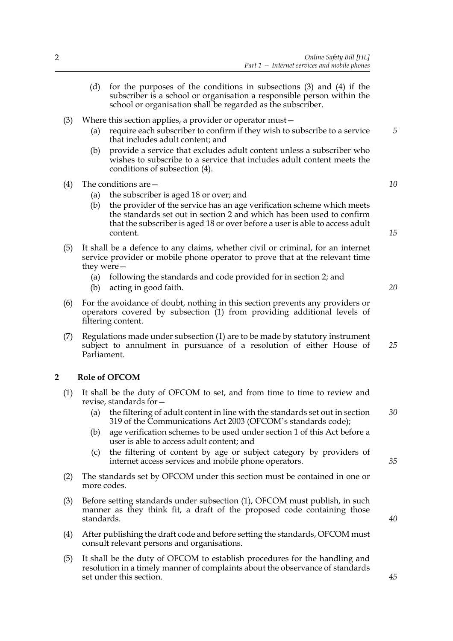- (d) for the purposes of the conditions in subsections (3) and (4) if the subscriber is a school or organisation a responsible person within the school or organisation shall be regarded as the subscriber.
- (3) Where this section applies, a provider or operator must—
	- (a) require each subscriber to confirm if they wish to subscribe to a service that includes adult content; and
	- (b) provide a service that excludes adult content unless a subscriber who wishes to subscribe to a service that includes adult content meets the conditions of subsection (4).
- (4) The conditions are—
	- (a) the subscriber is aged 18 or over; and
	- (b) the provider of the service has an age verification scheme which meets the standards set out in section 2 and which has been used to confirm that the subscriber is aged 18 or over before a user is able to access adult content.
- (5) It shall be a defence to any claims, whether civil or criminal, for an internet service provider or mobile phone operator to prove that at the relevant time they were—
	- (a) following the standards and code provided for in section 2; and
	- (b) acting in good faith.
- (6) For the avoidance of doubt, nothing in this section prevents any providers or operators covered by subsection (1) from providing additional levels of filtering content.
- (7) Regulations made under subsection (1) are to be made by statutory instrument subject to annulment in pursuance of a resolution of either House of Parliament.

#### **2 Role of OFCOM**

- (1) It shall be the duty of OFCOM to set, and from time to time to review and revise, standards for—
	- (a) the filtering of adult content in line with the standards set out in section 319 of the Communications Act 2003 (OFCOM's standards code); *30*
	- (b) age verification schemes to be used under section 1 of this Act before a user is able to access adult content; and
	- (c) the filtering of content by age or subject category by providers of internet access services and mobile phone operators.
- (2) The standards set by OFCOM under this section must be contained in one or more codes.
- (3) Before setting standards under subsection (1), OFCOM must publish, in such manner as they think fit, a draft of the proposed code containing those standards.
- (4) After publishing the draft code and before setting the standards, OFCOM must consult relevant persons and organisations.
- (5) It shall be the duty of OFCOM to establish procedures for the handling and resolution in a timely manner of complaints about the observance of standards set under this section.

*15*

*5*

*10*

*20*

*25*

*35*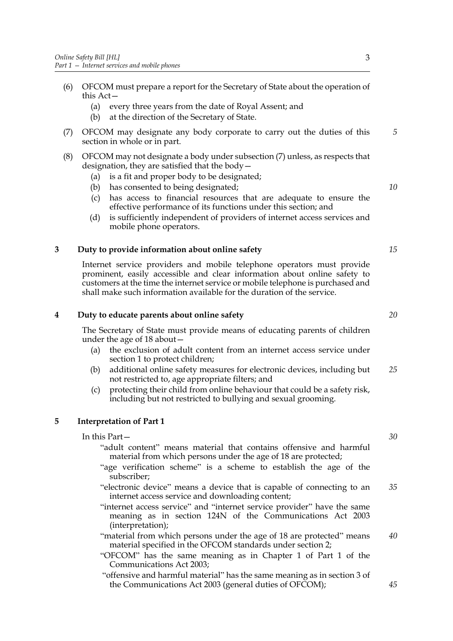- (6) OFCOM must prepare a report for the Secretary of State about the operation of this Act—
	- (a) every three years from the date of Royal Assent; and
	- (b) at the direction of the Secretary of State.
- (7) OFCOM may designate any body corporate to carry out the duties of this section in whole or in part.
- (8) OFCOM may not designate a body under subsection (7) unless, as respects that designation, they are satisfied that the body—
	- (a) is a fit and proper body to be designated;
	- (b) has consented to being designated;
	- (c) has access to financial resources that are adequate to ensure the effective performance of its functions under this section; and
	- (d) is sufficiently independent of providers of internet access services and mobile phone operators.

#### **3 Duty to provide information about online safety**

Internet service providers and mobile telephone operators must provide prominent, easily accessible and clear information about online safety to customers at the time the internet service or mobile telephone is purchased and shall make such information available for the duration of the service.

#### **4 Duty to educate parents about online safety**

The Secretary of State must provide means of educating parents of children under the age of 18 about—

- (a) the exclusion of adult content from an internet access service under section 1 to protect children;
- (b) additional online safety measures for electronic devices, including but not restricted to, age appropriate filters; and *25*
- (c) protecting their child from online behaviour that could be a safety risk, including but not restricted to bullying and sexual grooming.

#### **5 Interpretation of Part 1**

In this Part—

- "adult content" means material that contains offensive and harmful material from which persons under the age of 18 are protected;
- "age verification scheme" is a scheme to establish the age of the subscriber;
- "electronic device" means a device that is capable of connecting to an internet access service and downloading content; *35*
- "internet access service" and "internet service provider" have the same meaning as in section 124N of the Communications Act 2003 (interpretation);
- "material from which persons under the age of 18 are protected" means material specified in the OFCOM standards under section 2; *40*
- "OFCOM" has the same meaning as in Chapter 1 of Part 1 of the Communications Act 2003;
- "offensive and harmful material" has the same meaning as in section 3 of the Communications Act 2003 (general duties of OFCOM);

*30*

*15*

*20*

*5*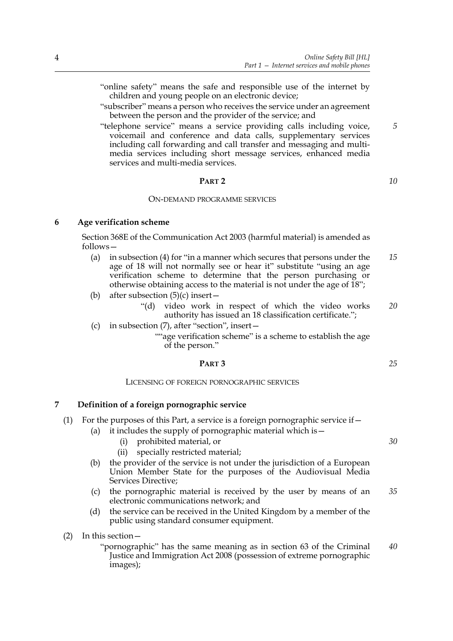- "online safety" means the safe and responsible use of the internet by children and young people on an electronic device;
- "subscriber" means a person who receives the service under an agreement between the person and the provider of the service; and
- "telephone service" means a service providing calls including voice, voicemail and conference and data calls, supplementary services including call forwarding and call transfer and messaging and multimedia services including short message services, enhanced media services and multi-media services.

#### **PART 2**

#### ON-DEMAND PROGRAMME SERVICES

#### **6 Age verification scheme**

Section 368E of the Communication Act 2003 (harmful material) is amended as follows—

- (a) in subsection (4) for "in a manner which secures that persons under the age of 18 will not normally see or hear it" substitute "using an age verification scheme to determine that the person purchasing or otherwise obtaining access to the material is not under the age of 18"; *15*
- (b) after subsection  $(5)(c)$  insert
	- "(d) video work in respect of which the video works authority has issued an 18 classification certificate."; *20*
- (c) in subsection (7), after "section", insert—

""age verification scheme" is a scheme to establish the age of the person."

#### **PART 3**

#### LICENSING OF FOREIGN PORNOGRAPHIC SERVICES

#### **7 Definition of a foreign pornographic service**

- (1) For the purposes of this Part, a service is a foreign pornographic service if  $-$ 
	- (a) it includes the supply of pornographic material which is  $-$ 
		- (i) prohibited material, or
		- (ii) specially restricted material;
		- (b) the provider of the service is not under the jurisdiction of a European Union Member State for the purposes of the Audiovisual Media Services Directive;
		- (c) the pornographic material is received by the user by means of an electronic communications network; and *35*
	- (d) the service can be received in the United Kingdom by a member of the public using standard consumer equipment.
- (2) In this section—

"pornographic" has the same meaning as in section 63 of the Criminal Justice and Immigration Act 2008 (possession of extreme pornographic images); *40*

*5*

*10*

*25*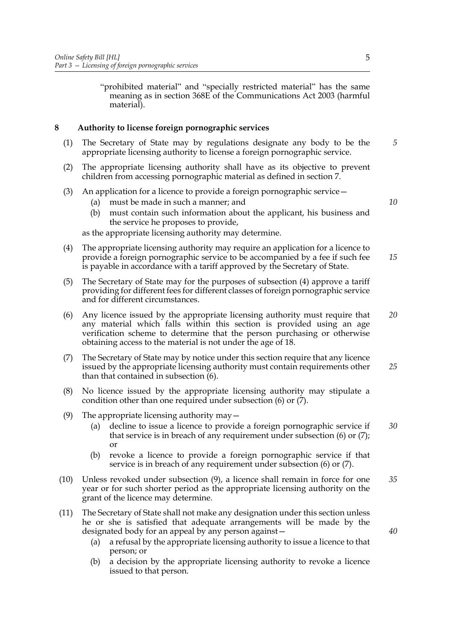"prohibited material" and "specially restricted material" has the same meaning as in section 368E of the Communications Act 2003 (harmful material).

#### **8 Authority to license foreign pornographic services**

- (1) The Secretary of State may by regulations designate any body to be the appropriate licensing authority to license a foreign pornographic service.
- (2) The appropriate licensing authority shall have as its objective to prevent children from accessing pornographic material as defined in section 7.
- (3) An application for a licence to provide a foreign pornographic service—
	- (a) must be made in such a manner; and
	- (b) must contain such information about the applicant, his business and the service he proposes to provide,

as the appropriate licensing authority may determine.

- (4) The appropriate licensing authority may require an application for a licence to provide a foreign pornographic service to be accompanied by a fee if such fee is payable in accordance with a tariff approved by the Secretary of State. *15*
- (5) The Secretary of State may for the purposes of subsection (4) approve a tariff providing for different fees for different classes of foreign pornographic service and for different circumstances.
- (6) Any licence issued by the appropriate licensing authority must require that any material which falls within this section is provided using an age verification scheme to determine that the person purchasing or otherwise obtaining access to the material is not under the age of 18. *20*
- (7) The Secretary of State may by notice under this section require that any licence issued by the appropriate licensing authority must contain requirements other than that contained in subsection (6). *25*
- (8) No licence issued by the appropriate licensing authority may stipulate a condition other than one required under subsection (6) or (7).
- (9) The appropriate licensing authority may  $-$ 
	- (a) decline to issue a licence to provide a foreign pornographic service if that service is in breach of any requirement under subsection (6) or (7); or *30*
	- (b) revoke a licence to provide a foreign pornographic service if that service is in breach of any requirement under subsection (6) or (7).
- (10) Unless revoked under subsection (9), a licence shall remain in force for one year or for such shorter period as the appropriate licensing authority on the grant of the licence may determine. *35*
- (11) The Secretary of State shall not make any designation under this section unless he or she is satisfied that adequate arrangements will be made by the designated body for an appeal by any person against—
	- (a) a refusal by the appropriate licensing authority to issue a licence to that person; or
	- (b) a decision by the appropriate licensing authority to revoke a licence issued to that person.

5

*5*

*10*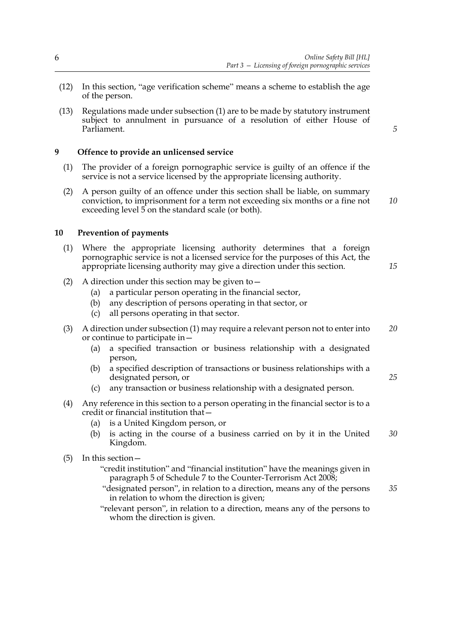- (12) In this section, "age verification scheme" means a scheme to establish the age of the person.
- (13) Regulations made under subsection (1) are to be made by statutory instrument subject to annulment in pursuance of a resolution of either House of Parliament.

#### **9 Offence to provide an unlicensed service**

- (1) The provider of a foreign pornographic service is guilty of an offence if the service is not a service licensed by the appropriate licensing authority.
- (2) A person guilty of an offence under this section shall be liable, on summary conviction, to imprisonment for a term not exceeding six months or a fine not exceeding level 5 on the standard scale (or both). *10*

#### **10 Prevention of payments**

- (1) Where the appropriate licensing authority determines that a foreign pornographic service is not a licensed service for the purposes of this Act, the appropriate licensing authority may give a direction under this section.
- (2) A direction under this section may be given to  $-$ 
	- (a) a particular person operating in the financial sector,
	- (b) any description of persons operating in that sector, or
	- (c) all persons operating in that sector.
- (3) A direction under subsection (1) may require a relevant person not to enter into or continue to participate in— *20*
	- (a) a specified transaction or business relationship with a designated person,
	- (b) a specified description of transactions or business relationships with a designated person, or
	- (c) any transaction or business relationship with a designated person.
- (4) Any reference in this section to a person operating in the financial sector is to a credit or financial institution that—
	- (a) is a United Kingdom person, or
	- (b) is acting in the course of a business carried on by it in the United Kingdom. *30*
- (5) In this section—
	- "credit institution" and "financial institution" have the meanings given in paragraph 5 of Schedule 7 to the Counter-Terrorism Act 2008;
	- "designated person", in relation to a direction, means any of the persons in relation to whom the direction is given; *35*
	- "relevant person", in relation to a direction, means any of the persons to whom the direction is given.

*5*

*15*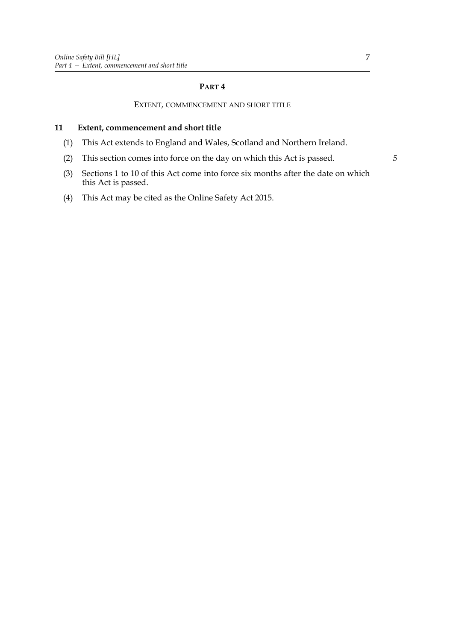#### **PART 4**

#### EXTENT, COMMENCEMENT AND SHORT TITLE

#### **11 Extent, commencement and short title**

- (1) This Act extends to England and Wales, Scotland and Northern Ireland.
- (2) This section comes into force on the day on which this Act is passed.
- (3) Sections 1 to 10 of this Act come into force six months after the date on which this Act is passed.
- (4) This Act may be cited as the Online Safety Act 2015.